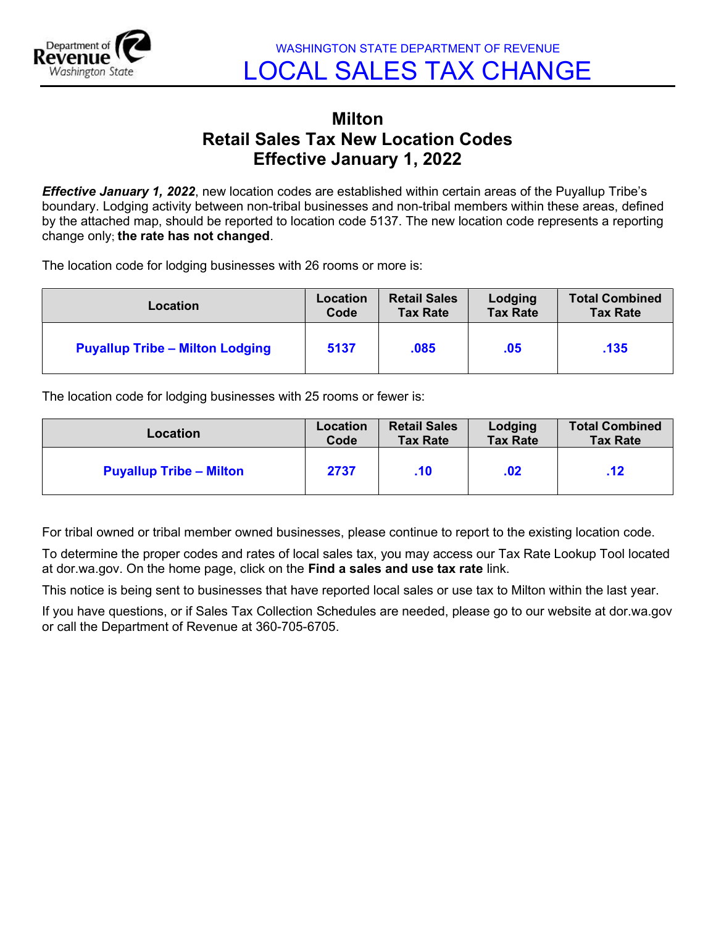

## Milton Retail Sales Tax New Location Codes Effective January 1, 2022

**Effective January 1, 2022**, new location codes are established within certain areas of the Puyallup Tribe's boundary. Lodging activity between non-tribal businesses and non-tribal members within these areas, defined by the attached map, should be reported to location code 5137. The new location code represents a reporting change only; the rate has not changed.

The location code for lodging businesses with 26 rooms or more is:

| Location                               | Location | <b>Retail Sales</b> | Lodging         | <b>Total Combined</b> |
|----------------------------------------|----------|---------------------|-----------------|-----------------------|
|                                        | Code     | <b>Tax Rate</b>     | <b>Tax Rate</b> | <b>Tax Rate</b>       |
| <b>Puyallup Tribe - Milton Lodging</b> | 5137     | .085                | .05             | .135                  |

The location code for lodging businesses with 25 rooms or fewer is:

| <b>Location</b>                | Location | <b>Retail Sales</b> | Lodging         | <b>Total Combined</b> |
|--------------------------------|----------|---------------------|-----------------|-----------------------|
|                                | Code     | <b>Tax Rate</b>     | <b>Tax Rate</b> | <b>Tax Rate</b>       |
| <b>Puyallup Tribe - Milton</b> | 2737     | $.10 \,$            | .02             | .12                   |

For tribal owned or tribal member owned businesses, please continue to report to the existing location code.

To determine the proper codes and rates of local sales tax, you may access our Tax Rate Lookup Tool located at dor.wa.gov. On the home page, click on the Find a sales and use tax rate link.

This notice is being sent to businesses that have reported local sales or use tax to Milton within the last year.

If you have questions, or if Sales Tax Collection Schedules are needed, please go to our website at dor.wa.gov or call the Department of Revenue at 360-705-6705.